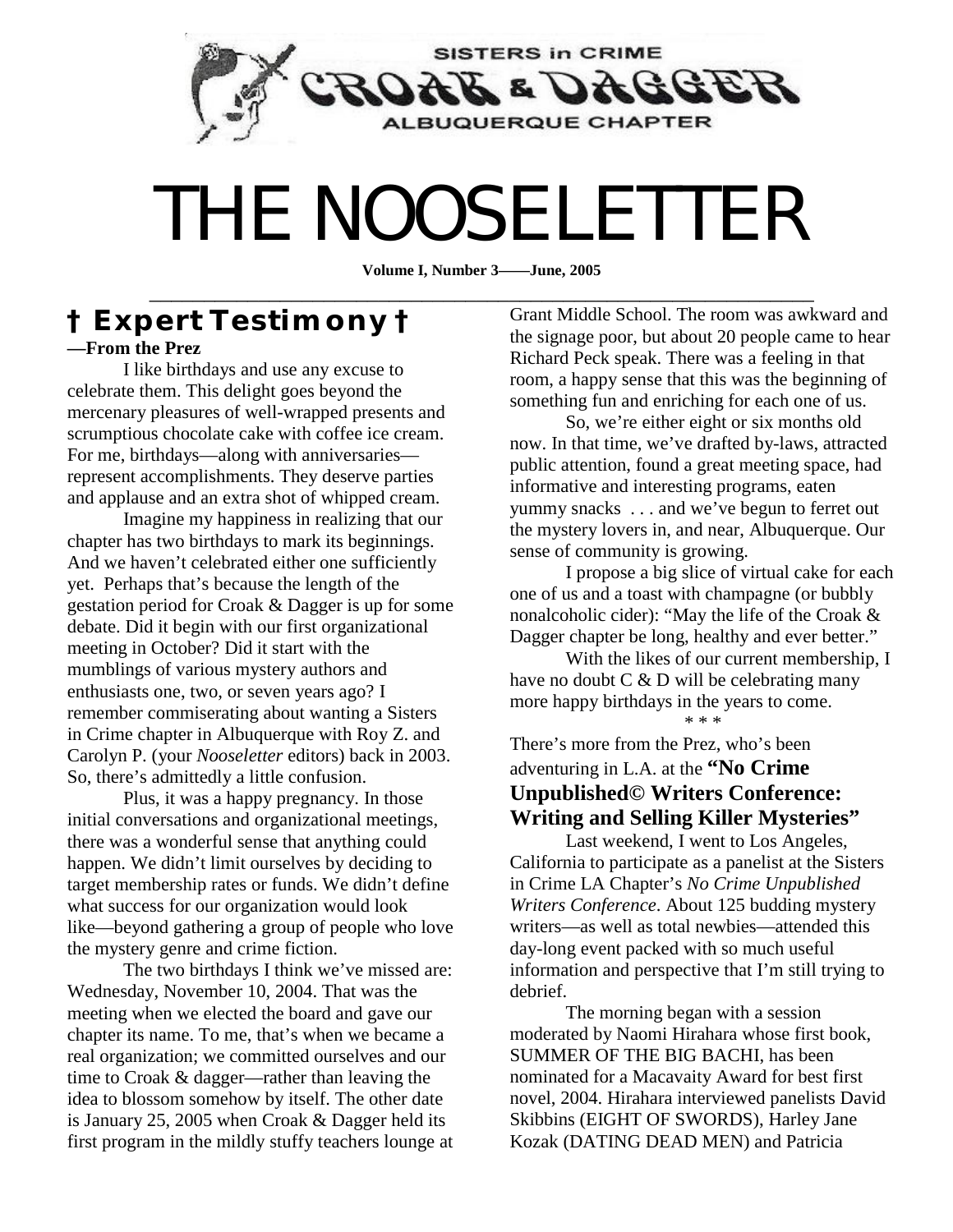

# THE NOOSELETTER

**Volume I, Number 3——June, 2005**  \_\_\_\_\_\_\_\_\_\_\_\_\_\_\_\_\_\_\_\_\_\_\_\_\_\_\_\_\_\_\_\_\_\_\_\_\_\_\_\_\_\_\_\_\_\_\_\_\_\_\_\_\_\_\_\_\_\_\_\_\_

## **† Expert Testimony † —From the Prez**

I like birthdays and use any excuse to celebrate them. This delight goes beyond the mercenary pleasures of well-wrapped presents and scrumptious chocolate cake with coffee ice cream. For me, birthdays—along with anniversaries represent accomplishments. They deserve parties and applause and an extra shot of whipped cream.

Imagine my happiness in realizing that our chapter has two birthdays to mark its beginnings. And we haven't celebrated either one sufficiently yet. Perhaps that's because the length of the gestation period for Croak & Dagger is up for some debate. Did it begin with our first organizational meeting in October? Did it start with the mumblings of various mystery authors and enthusiasts one, two, or seven years ago? I remember commiserating about wanting a Sisters in Crime chapter in Albuquerque with Roy Z. and Carolyn P. (your *Nooseletter* editors) back in 2003. So, there's admittedly a little confusion.

Plus, it was a happy pregnancy. In those initial conversations and organizational meetings, there was a wonderful sense that anything could happen. We didn't limit ourselves by deciding to target membership rates or funds. We didn't define what success for our organization would look like—beyond gathering a group of people who love the mystery genre and crime fiction.

The two birthdays I think we've missed are: Wednesday, November 10, 2004. That was the meeting when we elected the board and gave our chapter its name. To me, that's when we became a real organization; we committed ourselves and our time to Croak & dagger—rather than leaving the idea to blossom somehow by itself. The other date is January 25, 2005 when Croak & Dagger held its first program in the mildly stuffy teachers lounge at

Grant Middle School. The room was awkward and the signage poor, but about 20 people came to hear Richard Peck speak. There was a feeling in that room, a happy sense that this was the beginning of something fun and enriching for each one of us.

So, we're either eight or six months old now. In that time, we've drafted by-laws, attracted public attention, found a great meeting space, had informative and interesting programs, eaten yummy snacks . . . and we've begun to ferret out the mystery lovers in, and near, Albuquerque. Our sense of community is growing.

I propose a big slice of virtual cake for each one of us and a toast with champagne (or bubbly nonalcoholic cider): "May the life of the Croak & Dagger chapter be long, healthy and ever better."

With the likes of our current membership, I have no doubt C & D will be celebrating many more happy birthdays in the years to come.

\* \* \*

There's more from the Prez, who's been adventuring in L.A. at the **"No Crime Unpublished© Writers Conference: Writing and Selling Killer Mysteries"**

Last weekend, I went to Los Angeles, California to participate as a panelist at the Sisters in Crime LA Chapter's *No Crime Unpublished Writers Conference*. About 125 budding mystery writers—as well as total newbies—attended this day-long event packed with so much useful information and perspective that I'm still trying to debrief.

The morning began with a session moderated by Naomi Hirahara whose first book, SUMMER OF THE BIG BACHI, has been nominated for a Macavaity Award for best first novel, 2004. Hirahara interviewed panelists David Skibbins (EIGHT OF SWORDS), Harley Jane Kozak (DATING DEAD MEN) and Patricia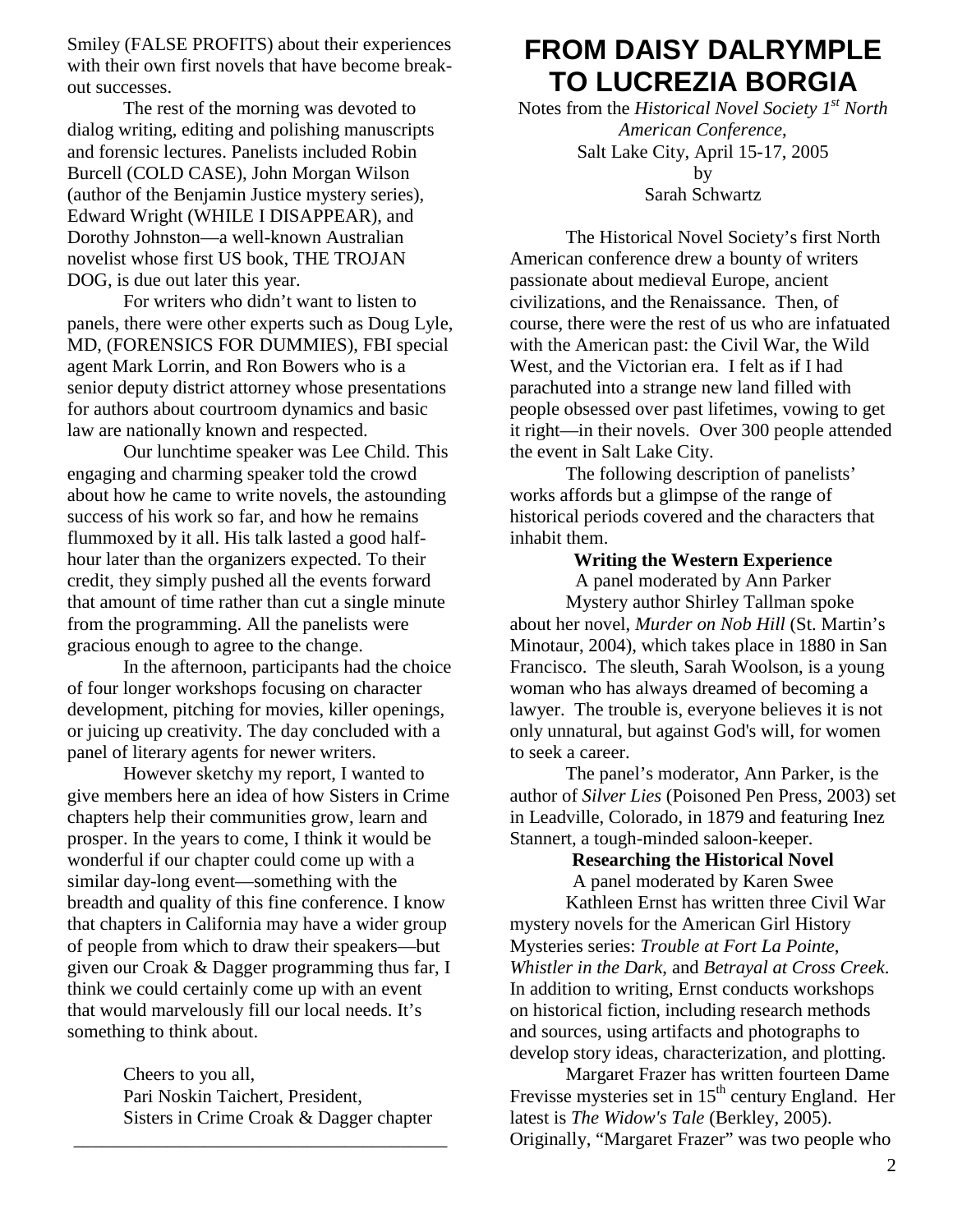Smiley (FALSE PROFITS) about their experiences with their own first novels that have become breakout successes.

The rest of the morning was devoted to dialog writing, editing and polishing manuscripts and forensic lectures. Panelists included Robin Burcell (COLD CASE), John Morgan Wilson (author of the Benjamin Justice mystery series), Edward Wright (WHILE I DISAPPEAR), and Dorothy Johnston—a well-known Australian novelist whose first US book, THE TROJAN DOG, is due out later this year.

For writers who didn't want to listen to panels, there were other experts such as Doug Lyle, MD, (FORENSICS FOR DUMMIES), FBI special agent Mark Lorrin, and Ron Bowers who is a senior deputy district attorney whose presentations for authors about courtroom dynamics and basic law are nationally known and respected.

Our lunchtime speaker was Lee Child. This engaging and charming speaker told the crowd about how he came to write novels, the astounding success of his work so far, and how he remains flummoxed by it all. His talk lasted a good halfhour later than the organizers expected. To their credit, they simply pushed all the events forward that amount of time rather than cut a single minute from the programming. All the panelists were gracious enough to agree to the change.

In the afternoon, participants had the choice of four longer workshops focusing on character development, pitching for movies, killer openings, or juicing up creativity. The day concluded with a panel of literary agents for newer writers.

However sketchy my report, I wanted to give members here an idea of how Sisters in Crime chapters help their communities grow, learn and prosper. In the years to come, I think it would be wonderful if our chapter could come up with a similar day-long event—something with the breadth and quality of this fine conference. I know that chapters in California may have a wider group of people from which to draw their speakers—but given our Croak & Dagger programming thus far, I think we could certainly come up with an event that would marvelously fill our local needs. It's something to think about.

> Cheers to you all, Pari Noskin Taichert, President, Sisters in Crime Croak & Dagger chapter

\_\_\_\_\_\_\_\_\_\_\_\_\_\_\_\_\_\_\_\_\_\_\_\_\_\_\_\_\_\_\_\_\_\_\_\_\_\_\_\_

## **FROM DAISY DALRYMPLE TO LUCREZIA BORGIA**

Notes from the *Historical Novel Society 1st North American Conference*, Salt Lake City, April 15-17, 2005 by Sarah Schwartz

 The Historical Novel Society's first North American conference drew a bounty of writers passionate about medieval Europe, ancient civilizations, and the Renaissance. Then, of course, there were the rest of us who are infatuated with the American past: the Civil War, the Wild West, and the Victorian era. I felt as if I had parachuted into a strange new land filled with people obsessed over past lifetimes, vowing to get it right—in their novels. Over 300 people attended the event in Salt Lake City.

 The following description of panelists' works affords but a glimpse of the range of historical periods covered and the characters that inhabit them.

## **Writing the Western Experience**

A panel moderated by Ann Parker Mystery author Shirley Tallman spoke about her novel, *Murder on Nob Hill* (St. Martin's Minotaur, 2004), which takes place in 1880 in San Francisco. The sleuth, Sarah Woolson, is a young woman who has always dreamed of becoming a lawyer. The trouble is, everyone believes it is not only unnatural, but against God's will, for women to seek a career.

 The panel's moderator, Ann Parker, is the author of *Silver Lies* (Poisoned Pen Press, 2003) set in Leadville, Colorado, in 1879 and featuring Inez Stannert, a tough-minded saloon-keeper.

## **Researching the Historical Novel**

A panel moderated by Karen Swee Kathleen Ernst has written three Civil War mystery novels for the American Girl History Mysteries series: *Trouble at Fort La Pointe*, *Whistler in the Dark*, and *Betrayal at Cross Creek*. In addition to writing, Ernst conducts workshops on historical fiction, including research methods and sources, using artifacts and photographs to develop story ideas, characterization, and plotting.

 Margaret Frazer has written fourteen Dame Frevisse mysteries set in 15<sup>th</sup> century England. Her latest is *The Widow's Tale* (Berkley, 2005). Originally, "Margaret Frazer" was two people who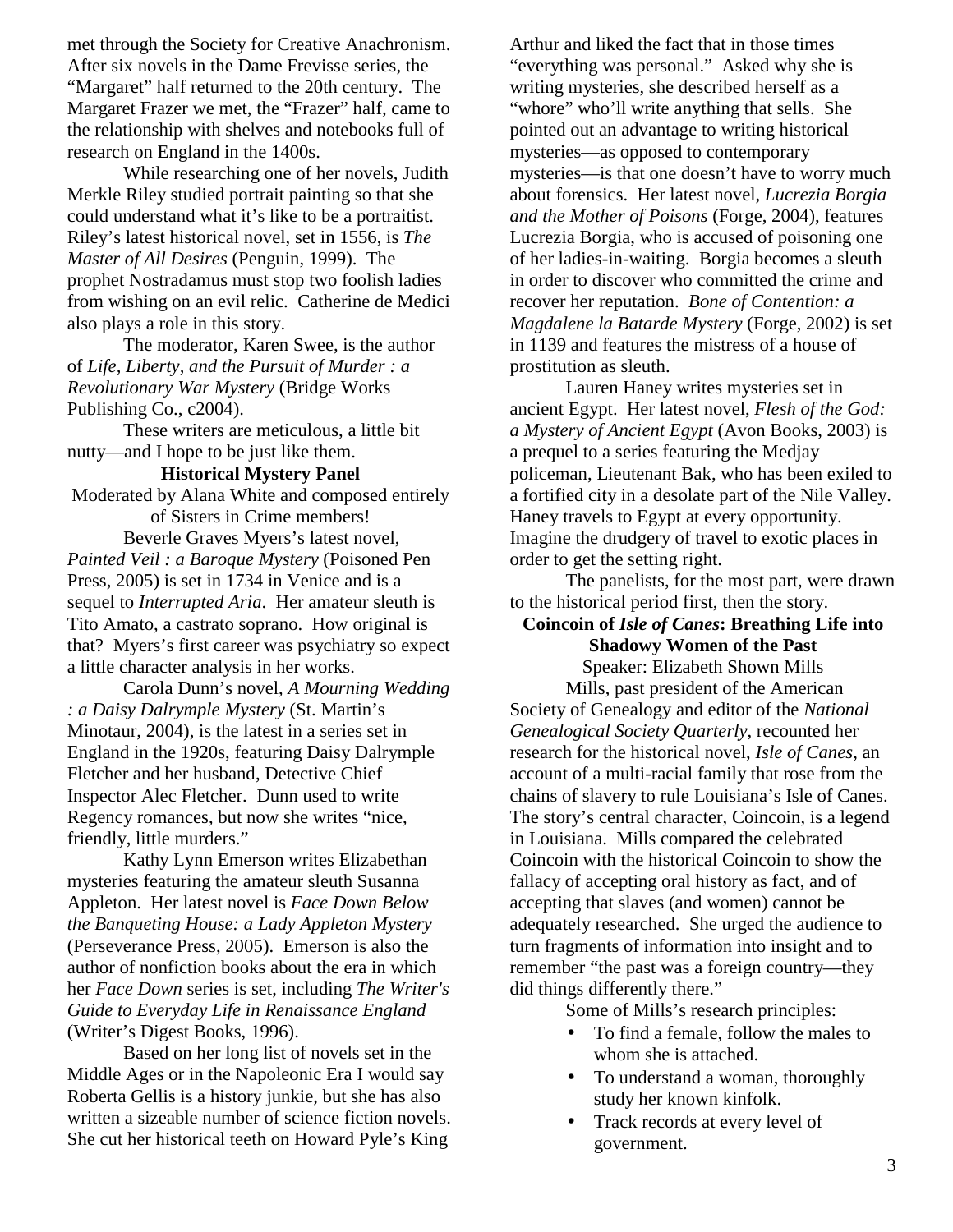met through the Society for Creative Anachronism. After six novels in the Dame Frevisse series, the "Margaret" half returned to the 20th century. The Margaret Frazer we met, the "Frazer" half, came to the relationship with shelves and notebooks full of research on England in the 1400s.

 While researching one of her novels, Judith Merkle Riley studied portrait painting so that she could understand what it's like to be a portraitist. Riley's latest historical novel, set in 1556, is *The Master of All Desires* (Penguin, 1999). The prophet Nostradamus must stop two foolish ladies from wishing on an evil relic. Catherine de Medici also plays a role in this story.

 The moderator, Karen Swee, is the author of *Life, Liberty, and the Pursuit of Murder : a Revolutionary War My[stery](http://catalog.sno-isle.org/cgi-bin/cw_cgi?doSearch+6604+86+_+//NB/Swee%2c%5fKaren+-8+-1)* (Bridge Works Publishing Co., c2004).

 These writers are meticulous, a little bit nutty—and I hope to be just like them.

#### **Historical Mystery Panel**  Moderated by Alana White and composed entirely

of Sisters in Crime members!

 Beverle Graves Myers's latest novel, *Painted Veil : a Baroque Mystery* (Poisoned Pen Press, 2005) is set in 1734 in Venice and is a sequel to *Interrupted Aria*. Her amateur sleuth is Tito Amato, a castrato soprano. How original is that? Myers's first career was psychiatry so expect a little character analysis in her works.

 Carola Dunn's novel, *A Mourning Wedding : a Daisy Dalrymple Mystery* (St. Martin's Minotaur, 2004), is the latest in a series set in England in the 1920s, featuring Daisy Dalrymple Fletcher and her husband, Detective Chief Inspector Alec Fletcher. Dunn used to write Regency romances, but now she writes "nice, friendly, little murders."

 Kathy Lynn Emerson writes Elizabethan mysteries featuring the amateur sleuth Susanna Appleton. Her latest novel is *Face Down Below the Banqueting House: a Lady Appleton Mystery* (Perseverance Press, 2005). Emerson is also the author of nonfiction books about the era in which her *Face Down* series is set, including *The Writer's Guide to Everyday Life in Renaissance England* (Writer's Digest Books, 1996).

 Based on her long list of novels set in the Middle Ages or in the Napoleonic Era I would say Roberta Gellis is a history junkie, but she has also written a sizeable number of science fiction novels. She cut her historical teeth on Howard Pyle's King

Arthur and liked the fact that in those times "everything was personal." Asked why she is writing mysteries, she described herself as a "whore" who'll write anything that sells. She pointed out an advantage to writing historical mysteries—as opposed to contemporary mysteries—is that one doesn't have to worry much about forensics. Her latest novel, *Lucrezia Borgia and the Mother of Poisons* (Forge, 2004), features Lucrezia Borgia, who is accused of poisoning one of her ladies-in-waiting. Borgia becomes a sleuth in order to discover who committed the crime and recover her reputation. *Bone of Contention: a Magdalene la Batarde Mystery* (Forge, 2002) is set in 1139 and features the mistress of a house of prostitution as sleuth.

 Lauren Haney writes mysteries set in ancient Egypt. Her latest novel, *Flesh of the God: a Mystery of Ancient Egypt* (Avon Books, 2003) is a prequel to a series featuring the Medjay policeman, Lieutenant Bak, who has been exiled to a fortified city in a desolate part of the Nile Valley. Haney travels to Egypt at every opportunity. Imagine the drudgery of travel to exotic places in order to get the setting right.

 The panelists, for the most part, were drawn to the historical period first, then the story.

## **Coincoin of** *Isle of Canes***: Breathing Life into Shadowy Women of the Past**

Speaker: Elizabeth Shown Mills Mills, past president of the American

Society of Genealogy and editor of the *National Genealogical Society Quarterly*, recounted her research for the historical novel, *Isle of Canes*, an account of a multi-racial family that rose from the chains of slavery to rule Louisiana's Isle of Canes. The story's central character, Coincoin, is a legend in Louisiana. Mills compared the celebrated Coincoin with the historical Coincoin to show the fallacy of accepting oral history as fact, and of accepting that slaves (and women) cannot be adequately researched. She urged the audience to turn fragments of information into insight and to remember "the past was a foreign country—they did things differently there."

Some of Mills's research principles:

- To find a female, follow the males to whom she is attached.
- To understand a woman, thoroughly study her known kinfolk.
- Track records at every level of government.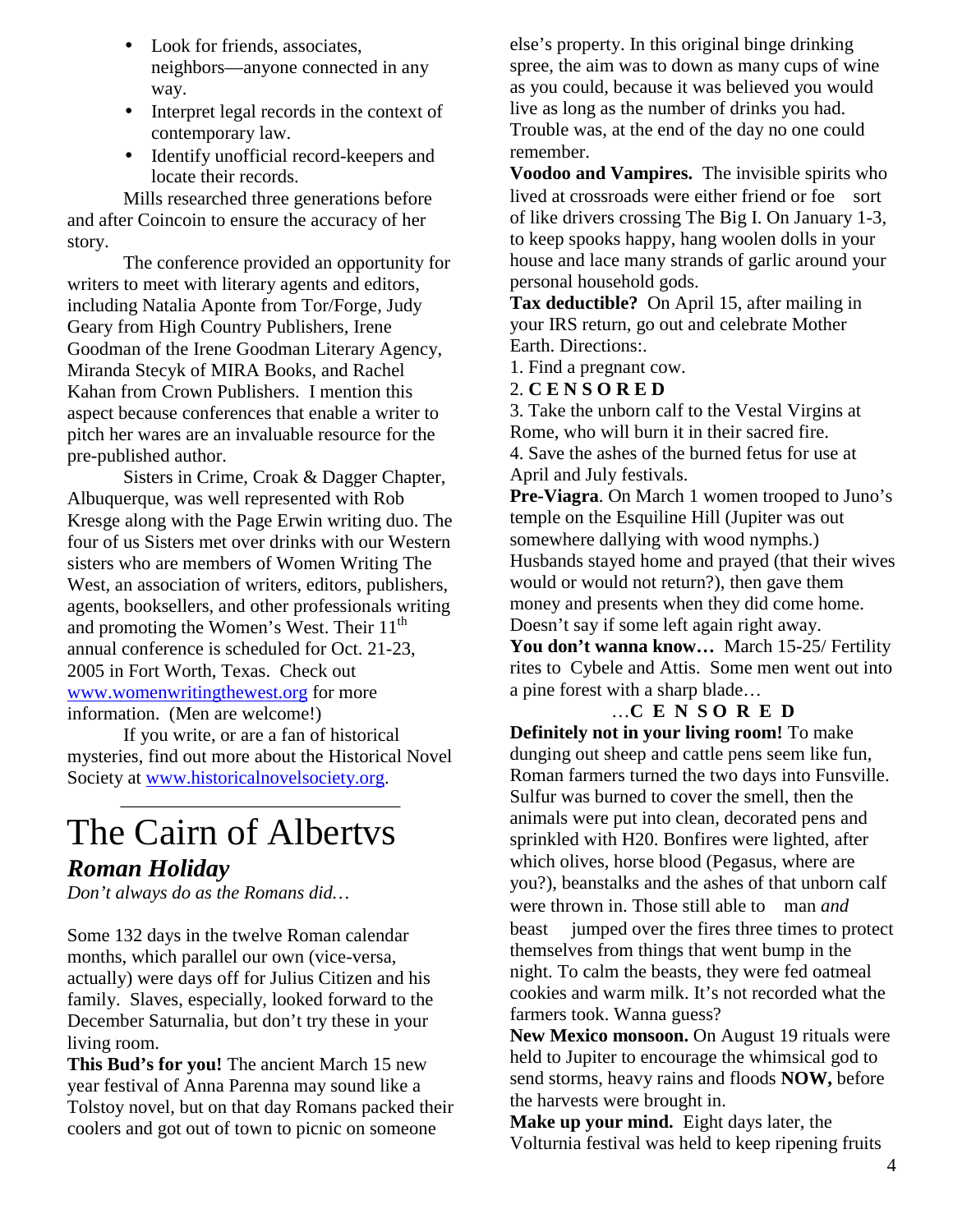- Look for friends, associates, neighbors—anyone connected in any way.
- Interpret legal records in the context of contemporary law.
- Identify unofficial record-keepers and locate their records.

 Mills researched three generations before and after Coincoin to ensure the accuracy of her story.

 The conference provided an opportunity for writers to meet with literary agents and editors, including Natalia Aponte from Tor/Forge, Judy Geary from High Country Publishers, Irene Goodman of the Irene Goodman Literary Agency, Miranda Stecyk of MIRA Books, and Rachel Kahan from Crown Publishers. I mention this aspect because conferences that enable a writer to pitch her wares are an invaluable resource for the pre-published author.

 Sisters in Crime, Croak & Dagger Chapter, Albuquerque, was well represented with Rob Kresge along with the Page Erwin writing duo. The four of us Sisters met over drinks with our Western sisters who are members of Women Writing The West, an association of writers, editors, publishers, agents, booksellers, and other professionals writing and promoting the Women's West. Their  $11<sup>th</sup>$ annual conference is scheduled for Oct. 21-23, 2005 in Fort Worth, Texas. Check out www.womenwritingthewest.org for more information. (Men are welcome!)

 [If you write, or are a fan](http://www.womenwritingthewest.org/) of historical mysteries, find out more about the Historical Novel Society at www.historicalnovelsociety.org.

\_\_\_\_\_\_\_\_\_\_\_\_\_\_\_\_\_\_\_\_\_\_\_\_\_\_\_\_\_\_

## The [Cairn of Albertvs](http://www.historicalnovelsociety.org/)

## *Roman Holiday*

*Don't always do as the Romans did…* 

Some 132 days in the twelve Roman calendar months, which parallel our own (vice-versa, actually) were days off for Julius Citizen and his family. Slaves, especially, looked forward to the December Saturnalia, but don't try these in your living room.

**This Bud's for you!** The ancient March 15 new year festival of Anna Parenna may sound like a Tolstoy novel, but on that day Romans packed their coolers and got out of town to picnic on someone

else's property. In this original binge drinking spree, the aim was to down as many cups of wine as you could, because it was believed you would live as long as the number of drinks you had. Trouble was, at the end of the day no one could remember.

**Voodoo and Vampires.** The invisible spirits who lived at crossroads were either friend or foe—sort of like drivers crossing The Big I. On January 1-3, to keep spooks happy, hang woolen dolls in your house and lace many strands of garlic around your personal household gods.

**Tax deductible?** On April 15, after mailing in your IRS return, go out and celebrate Mother Earth. Directions:.

1. Find a pregnant cow.

2. **C E N S O R E D** 

3. Take the unborn calf to the Vestal Virgins at Rome, who will burn it in their sacred fire. 4. Save the ashes of the burned fetus for use at April and July festivals.

**Pre-Viagra**. On March 1 women trooped to Juno's temple on the Esquiline Hill (Jupiter was out somewhere dallying with wood nymphs.) Husbands stayed home and prayed (that their wives would or would not return?), then gave them money and presents when they did come home. Doesn't say if some left again right away.

You don't wanna know... March 15-25/ Fertility rites to Cybele and Attis. Some men went out into a pine forest with a sharp blade…

## …**C E N S O R E D**

**Definitely not in your living room!** To make dunging out sheep and cattle pens seem like fun, Roman farmers turned the two days into Funsville. Sulfur was burned to cover the smell, then the animals were put into clean, decorated pens and sprinkled with H20. Bonfires were lighted, after which olives, horse blood (Pegasus, where are you?), beanstalks and the ashes of that unborn calf were thrown in. Those still able to—man *and* beast— jumped over the fires three times to protect themselves from things that went bump in the night. To calm the beasts, they were fed oatmeal cookies and warm milk. It's not recorded what the farmers took. Wanna guess?

**New Mexico monsoon.** On August 19 rituals were held to Jupiter to encourage the whimsical god to send storms, heavy rains and floods **NOW,** before the harvests were brought in.

**Make up your mind.** Eight days later, the Volturnia festival was held to keep ripening fruits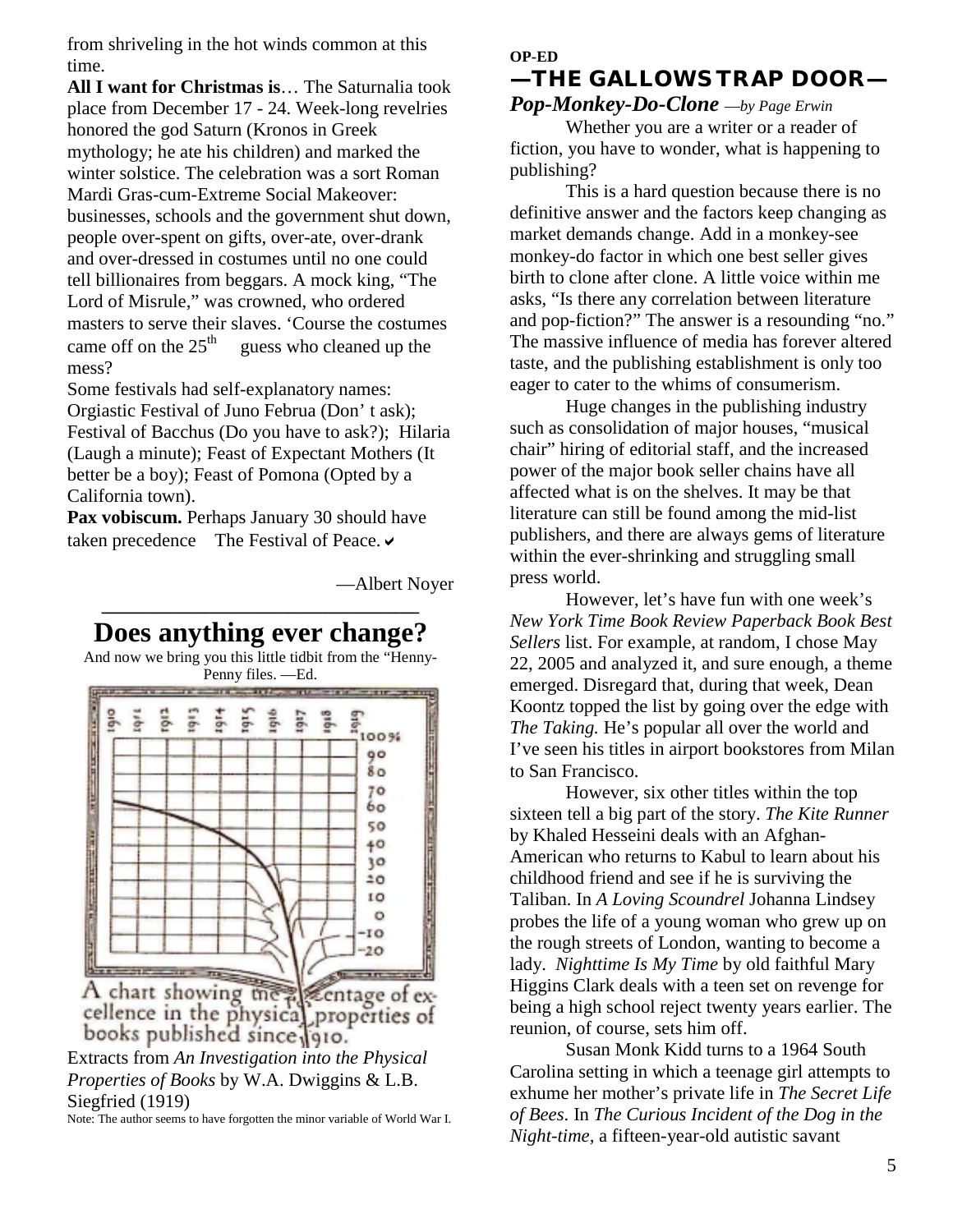from shriveling in the hot winds common at this time.

**All I want for Christmas is**… The Saturnalia took place from December 17 - 24. Week-long revelries honored the god Saturn (Kronos in Greek mythology; he ate his children) and marked the winter solstice. The celebration was a sort Roman Mardi Gras-cum-Extreme Social Makeover: businesses, schools and the government shut down, people over-spent on gifts, over-ate, over-drank and over-dressed in costumes until no one could tell billionaires from beggars. A mock king, "The Lord of Misrule," was crowned, who ordered masters to serve their slaves. 'Course the costumes came off on the  $25<sup>th</sup>$  guess who cleaned up the mess?

Some festivals had self-explanatory names: Orgiastic Festival of Juno Februa (Don' t ask); Festival of Bacchus (Do you have to ask?); Hilaria (Laugh a minute); Feast of Expectant Mothers (It better be a boy); Feast of Pomona (Opted by a California town).

**Pax vobiscum.** Perhaps January 30 should have taken precedence—The Festival of Peace.  $\checkmark$ 

**\_\_\_\_\_\_\_\_\_\_\_\_\_\_\_\_\_\_\_\_\_\_\_\_\_\_\_\_\_\_\_\_\_\_** 

—Albert Noyer



A chart showing the *A* chart showing the *A* chart showing the *A* centage of excellence in the physical properties of books published since  $\sqrt{910}$ .

*Properties of Books* by W.A. Dwiggins & L.B. Siegfried (1919)

Note: The author seems to have forgotten the minor variable of World War I.

#### **OP-ED**

## **—THE GALLOWS TRAP DOOR—**  *Pop-Monkey-Do-Clone* —*by Page Erwin*

 Whether you are a writer or a reader of fiction, you have to wonder, what is happening to publishing?

 This is a hard question because there is no definitive answer and the factors keep changing as market demands change. Add in a monkey-see monkey-do factor in which one best seller gives birth to clone after clone. A little voice within me asks, "Is there any correlation between literature and pop-fiction?" The answer is a resounding "no." The massive influence of media has forever altered taste, and the publishing establishment is only too eager to cater to the whims of consumerism.

 Huge changes in the publishing industry such as consolidation of major houses, "musical chair" hiring of editorial staff, and the increased power of the major book seller chains have all affected what is on the shelves. It may be that literature can still be found among the mid-list publishers, and there are always gems of literature within the ever-shrinking and struggling small press world.

 However, let's have fun with one week's *New York Time Book Review Paperback Book Best Sellers* list. For example, at random, I chose May 22, 2005 and analyzed it, and sure enough, a theme emerged. Disregard that, during that week, Dean Koontz topped the list by going over the edge with *The Taking.* He's popular all over the world and I've seen his titles in airport bookstores from Milan to San Francisco.

 However, six other titles within the top sixteen tell a big part of the story. *The Kite Runner*  by Khaled Hesseini deals with an Afghan-American who returns to Kabul to learn about his childhood friend and see if he is surviving the Taliban. In *A Loving Scoundrel* Johanna Lindsey probes the life of a young woman who grew up on the rough streets of London, wanting to become a lady. *Nighttime Is My Time* by old faithful Mary Higgins Clark deals with a teen set on revenge for being a high school reject twenty years earlier. The reunion, of course, sets him off.

 Susan Monk Kidd turns to a 1964 South Carolina setting in which a teenage girl attempts to exhume her mother's private life in *The Secret Life of Bees*. In *The Curious Incident of the Dog in the Night-time,* a fifteen-year-old autistic savant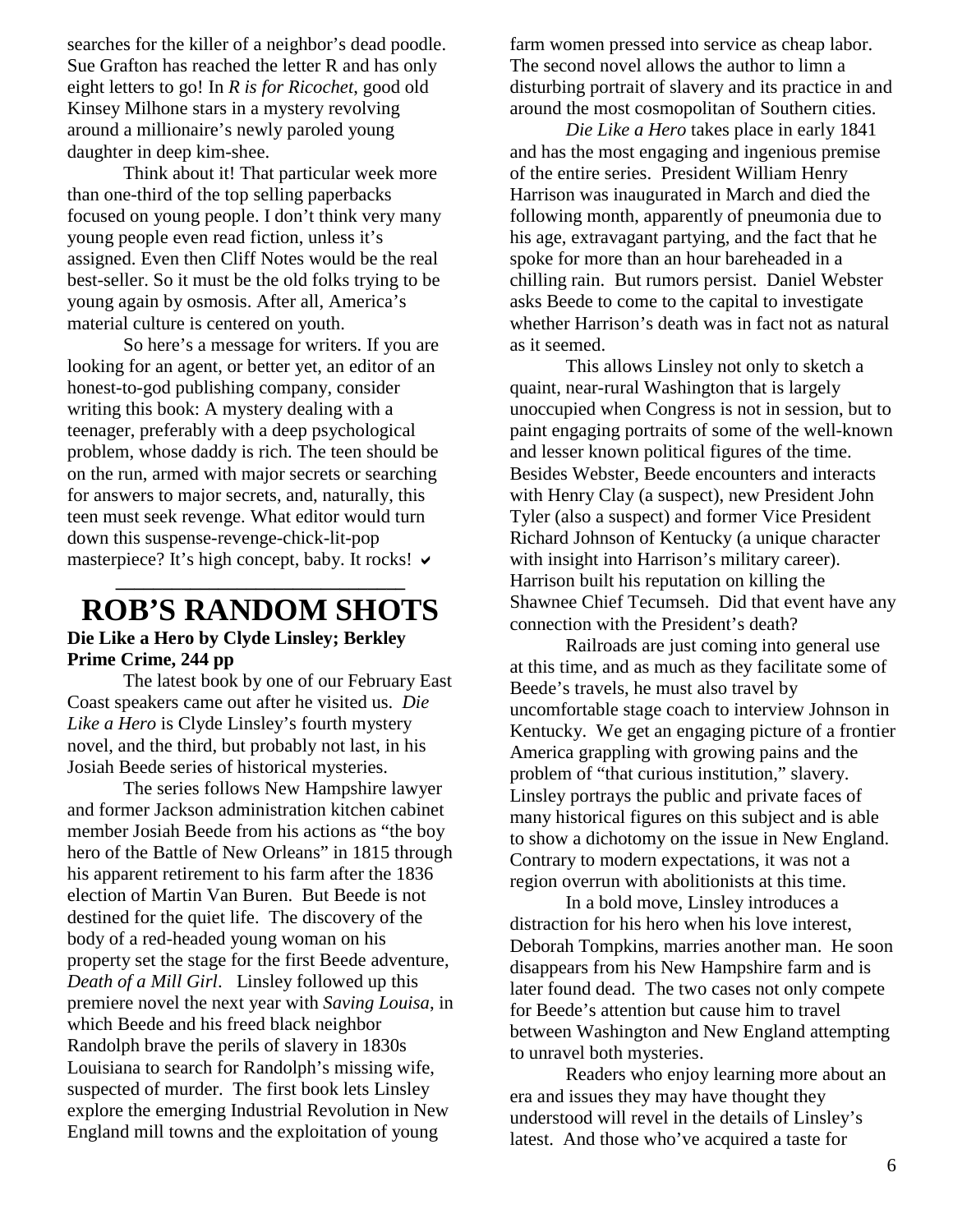searches for the killer of a neighbor's dead poodle. Sue Grafton has reached the letter R and has only eight letters to go! In *R is for Ricochet*, good old Kinsey Milhone stars in a mystery revolving around a millionaire's newly paroled young daughter in deep kim-shee.

 Think about it! That particular week more than one-third of the top selling paperbacks focused on young people. I don't think very many young people even read fiction, unless it's assigned. Even then Cliff Notes would be the real best-seller. So it must be the old folks trying to be young again by osmosis. After all, America's material culture is centered on youth.

 So here's a message for writers. If you are looking for an agent, or better yet, an editor of an honest-to-god publishing company, consider writing this book: A mystery dealing with a teenager, preferably with a deep psychological problem, whose daddy is rich. The teen should be on the run, armed with major secrets or searching for answers to major secrets, and, naturally, this teen must seek revenge. What editor would turn down this suspense-revenge-chick-lit-pop masterpiece? It's high concept, baby. It rocks!  $\vee$ **\_\_\_\_\_\_\_\_\_\_\_\_\_\_\_\_\_\_\_\_\_\_\_\_\_\_\_\_\_\_\_**

## **ROB'S RANDOM SHOTS Die Like a Hero by Clyde Linsley; Berkley Prime Crime, 244 pp**

 The latest book by one of our February East Coast speakers came out after he visited us. *Die Like a Hero* is Clyde Linsley's fourth mystery novel, and the third, but probably not last, in his Josiah Beede series of historical mysteries.

 The series follows New Hampshire lawyer and former Jackson administration kitchen cabinet member Josiah Beede from his actions as "the boy hero of the Battle of New Orleans" in 1815 through his apparent retirement to his farm after the 1836 election of Martin Van Buren. But Beede is not destined for the quiet life. The discovery of the body of a red-headed young woman on his property set the stage for the first Beede adventure, *Death of a Mill Girl*. Linsley followed up this premiere novel the next year with *Saving Louisa*, in which Beede and his freed black neighbor Randolph brave the perils of slavery in 1830s Louisiana to search for Randolph's missing wife, suspected of murder. The first book lets Linsley explore the emerging Industrial Revolution in New England mill towns and the exploitation of young

farm women pressed into service as cheap labor. The second novel allows the author to limn a disturbing portrait of slavery and its practice in and around the most cosmopolitan of Southern cities.

*Die Like a Hero* takes place in early 1841 and has the most engaging and ingenious premise of the entire series. President William Henry Harrison was inaugurated in March and died the following month, apparently of pneumonia due to his age, extravagant partying, and the fact that he spoke for more than an hour bareheaded in a chilling rain. But rumors persist. Daniel Webster asks Beede to come to the capital to investigate whether Harrison's death was in fact not as natural as it seemed.

This allows Linsley not only to sketch a quaint, near-rural Washington that is largely unoccupied when Congress is not in session, but to paint engaging portraits of some of the well-known and lesser known political figures of the time. Besides Webster, Beede encounters and interacts with Henry Clay (a suspect), new President John Tyler (also a suspect) and former Vice President Richard Johnson of Kentucky (a unique character with insight into Harrison's military career). Harrison built his reputation on killing the Shawnee Chief Tecumseh. Did that event have any connection with the President's death?

 Railroads are just coming into general use at this time, and as much as they facilitate some of Beede's travels, he must also travel by uncomfortable stage coach to interview Johnson in Kentucky. We get an engaging picture of a frontier America grappling with growing pains and the problem of "that curious institution," slavery. Linsley portrays the public and private faces of many historical figures on this subject and is able to show a dichotomy on the issue in New England. Contrary to modern expectations, it was not a region overrun with abolitionists at this time.

 In a bold move, Linsley introduces a distraction for his hero when his love interest, Deborah Tompkins, marries another man. He soon disappears from his New Hampshire farm and is later found dead. The two cases not only compete for Beede's attention but cause him to travel between Washington and New England attempting to unravel both mysteries.

 Readers who enjoy learning more about an era and issues they may have thought they understood will revel in the details of Linsley's latest. And those who've acquired a taste for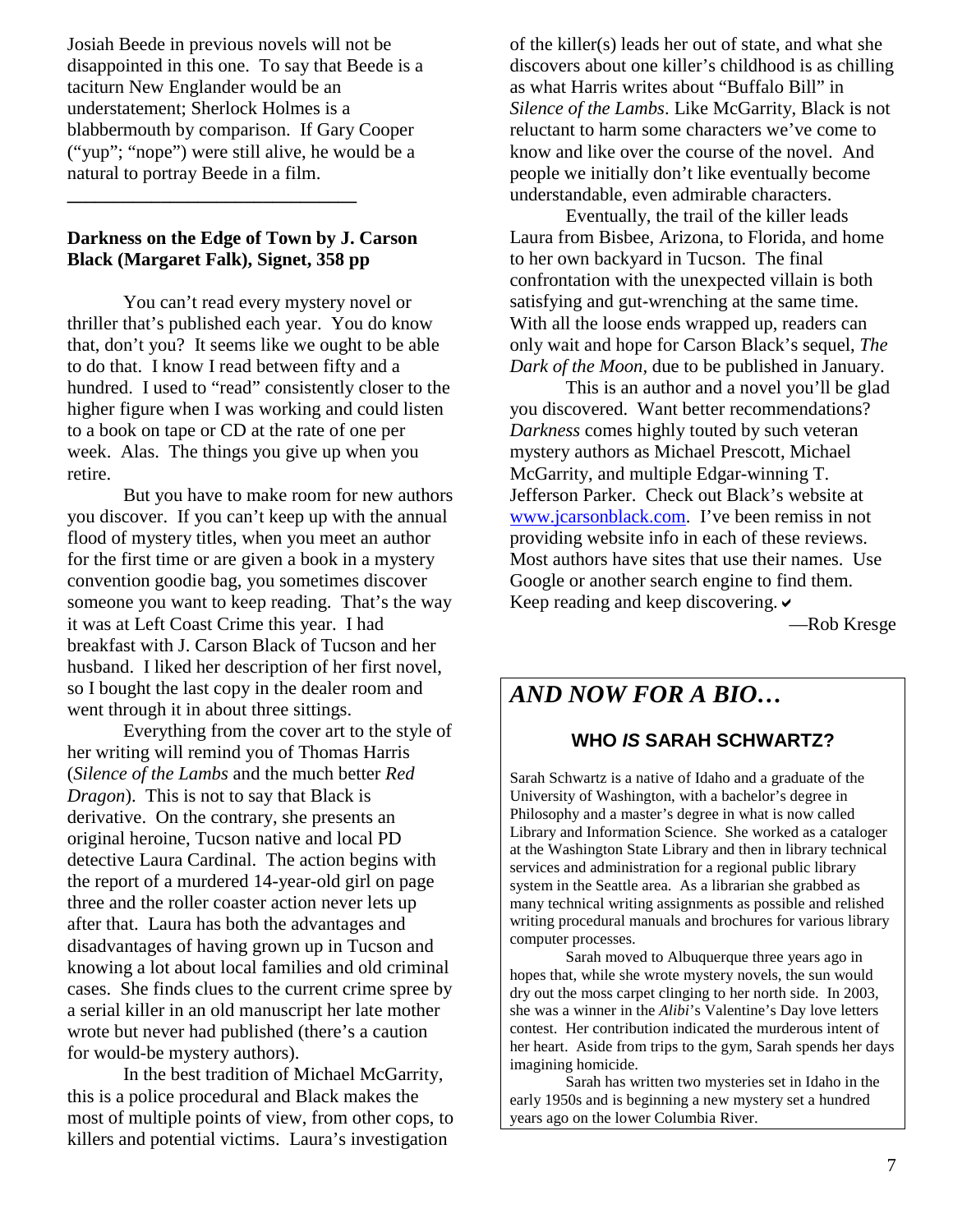Josiah Beede in previous novels will not be disappointed in this one. To say that Beede is a taciturn New Englander would be an understatement; Sherlock Holmes is a blabbermouth by comparison. If Gary Cooper ("yup"; "nope") were still alive, he would be a natural to portray Beede in a film.

## **Darkness on the Edge of Town by J. Carson Black (Margaret Falk), Signet, 358 pp**

**\_\_\_\_\_\_\_\_\_\_\_\_\_\_\_\_\_\_\_\_\_\_\_\_\_\_\_\_\_\_\_** 

 You can't read every mystery novel or thriller that's published each year. You do know that, don't you? It seems like we ought to be able to do that. I know I read between fifty and a hundred. I used to "read" consistently closer to the higher figure when I was working and could listen to a book on tape or CD at the rate of one per week. Alas. The things you give up when you retire.

 But you have to make room for new authors you discover. If you can't keep up with the annual flood of mystery titles, when you meet an author for the first time or are given a book in a mystery convention goodie bag, you sometimes discover someone you want to keep reading. That's the way it was at Left Coast Crime this year. I had breakfast with J. Carson Black of Tucson and her husband. I liked her description of her first novel, so I bought the last copy in the dealer room and went through it in about three sittings.

 Everything from the cover art to the style of her writing will remind you of Thomas Harris (*Silence of the Lambs* and the much better *Red Dragon*). This is not to say that Black is derivative. On the contrary, she presents an original heroine, Tucson native and local PD detective Laura Cardinal. The action begins with the report of a murdered 14-year-old girl on page three and the roller coaster action never lets up after that. Laura has both the advantages and disadvantages of having grown up in Tucson and knowing a lot about local families and old criminal cases. She finds clues to the current crime spree by a serial killer in an old manuscript her late mother wrote but never had published (there's a caution for would-be mystery authors).

 In the best tradition of Michael McGarrity, this is a police procedural and Black makes the most of multiple points of view, from other cops, to killers and potential victims. Laura's investigation

of the killer(s) leads her out of state, and what she discovers about one killer's childhood is as chilling as what Harris writes about "Buffalo Bill" in *Silence of the Lambs*. Like McGarrity, Black is not reluctant to harm some characters we've come to know and like over the course of the novel. And people we initially don't like eventually become understandable, even admirable characters.

 Eventually, the trail of the killer leads Laura from Bisbee, Arizona, to Florida, and home to her own backyard in Tucson. The final confrontation with the unexpected villain is both satisfying and gut-wrenching at the same time. With all the loose ends wrapped up, readers can only wait and hope for Carson Black's sequel, *The Dark of the Moon,* due to be published in January.

 This is an author and a novel you'll be glad you discovered. Want better recommendations? *Darkness* comes highly touted by such veteran mystery authors as Michael Prescott, Michael McGarrity, and multiple Edgar-winning T. Jefferson Parker. Check out Black's website at www.jcarsonblack.com. I've been remiss in not providing website info in each of these reviews. [Most authors have sites](http://www.jcarsonblack.com/) that use their names. Use Google or another search engine to find them. Keep reading and keep discovering.  $\triangleright$ 

—Rob Kresge

## *AND NOW FOR A BIO…*

## **WHO** *IS* **SARAH SCHWARTZ?**

Sarah Schwartz is a native of Idaho and a graduate of the University of Washington, with a bachelor's degree in Philosophy and a master's degree in what is now called Library and Information Science. She worked as a cataloger at the Washington State Library and then in library technical services and administration for a regional public library system in the Seattle area. As a librarian she grabbed as many technical writing assignments as possible and relished writing procedural manuals and brochures for various library computer processes.

 Sarah moved to Albuquerque three years ago in hopes that, while she wrote mystery novels, the sun would dry out the moss carpet clinging to her north side. In 2003, she was a winner in the *Alibi*'s Valentine's Day love letters contest. Her contribution indicated the murderous intent of her heart. Aside from trips to the gym, Sarah spends her days imagining homicide.

 Sarah has written two mysteries set in Idaho in the early 1950s and is beginning a new mystery set a hundred years ago on the lower Columbia River.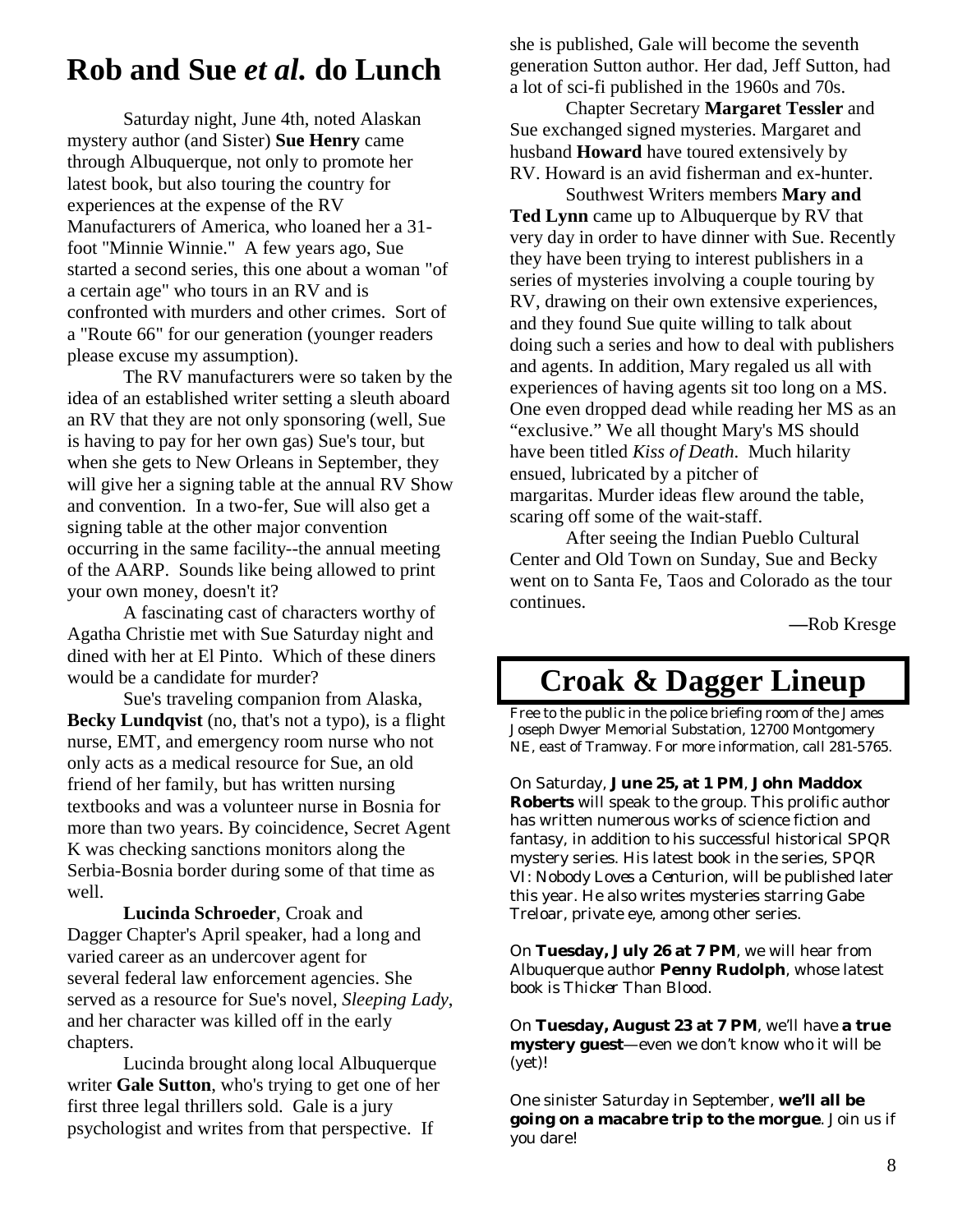## **Rob and Sue** *et al.* **do Lunch**

 Saturday night, June 4th, noted Alaskan mystery author (and Sister) **Sue Henry** came through Albuquerque, not only to promote her latest book, but also touring the country for experiences at the expense of the RV Manufacturers of America, who loaned her a 31 foot "Minnie Winnie." A few years ago, Sue started a second series, this one about a woman "of a certain age" who tours in an RV and is confronted with murders and other crimes. Sort of a "Route 66" for our generation (younger readers please excuse my assumption).

 The RV manufacturers were so taken by the idea of an established writer setting a sleuth aboard an RV that they are not only sponsoring (well, Sue is having to pay for her own gas) Sue's tour, but when she gets to New Orleans in September, they will give her a signing table at the annual RV Show and convention. In a two-fer, Sue will also get a signing table at the other major convention occurring in the same facility--the annual meeting of the AARP. Sounds like being allowed to print your own money, doesn't it?

 A fascinating cast of characters worthy of Agatha Christie met with Sue Saturday night and dined with her at El Pinto. Which of these diners would be a candidate for murder?

 Sue's traveling companion from Alaska, **Becky Lundqvist** (no, that's not a typo), is a flight nurse, EMT, and emergency room nurse who not only acts as a medical resource for Sue, an old friend of her family, but has written nursing textbooks and was a volunteer nurse in Bosnia for more than two years. By coincidence, Secret Agent K was checking sanctions monitors along the Serbia-Bosnia border during some of that time as well.

 **Lucinda Schroeder**, Croak and Dagger Chapter's April speaker, had a long and varied career as an undercover agent for several federal law enforcement agencies. She served as a resource for Sue's novel, *Sleeping Lady*, and her character was killed off in the early chapters.

 Lucinda brought along local Albuquerque writer **Gale Sutton**, who's trying to get one of her first three legal thrillers sold. Gale is a jury psychologist and writes from that perspective. If

she is published, Gale will become the seventh generation Sutton author. Her dad, Jeff Sutton, had a lot of sci-fi published in the 1960s and 70s.

 Chapter Secretary **Margaret Tessler** and Sue exchanged signed mysteries. Margaret and husband **Howard** have toured extensively by RV. Howard is an avid fisherman and ex-hunter.

 Southwest Writers members **Mary and Ted Lynn** came up to Albuquerque by RV that very day in order to have dinner with Sue. Recently they have been trying to interest publishers in a series of mysteries involving a couple touring by RV, drawing on their own extensive experiences, and they found Sue quite willing to talk about doing such a series and how to deal with publishers and agents. In addition, Mary regaled us all with experiences of having agents sit too long on a MS. One even dropped dead while reading her MS as an "exclusive." We all thought Mary's MS should have been titled *Kiss of Death*. Much hilarity ensued, lubricated by a pitcher of margaritas. Murder ideas flew around the table, scaring off some of the wait-staff.

 After seeing the Indian Pueblo Cultural Center and Old Town on Sunday, Sue and Becky went on to Santa Fe, Taos and Colorado as the tour continues.

**—**Rob Kresge

## **Croak & Dagger Lineup**

Free to the public in the police briefing room of the James Joseph Dwyer Memorial Substation, 12700 Montgomery NE, east of Tramway. For more information, call 281-5765.

On Saturday, **June 25, at 1 PM**, **John Maddox Roberts** will speak to the group. This prolific author has written numerous works of science fiction and fantasy, in addition to his successful historical SPQR mystery series. His latest book in the series, *SPQR VI: Nobody Loves a Centurion*, will be published later this year. He also writes mysteries starring Gabe Treloar, private eye, among other series.

On **Tuesday, July 26 at 7 PM**, we will hear from Albuquerque author **Penny Rudolph**, whose latest book is *Thicker Than Blood*.

On **Tuesday, August 23 at 7 PM**, we'll have **a true mystery guest**—even we don't know who it will be (yet)!

One sinister Saturday in September, **we'll all be going on a macabre trip to the morgue**. Join us if you dare!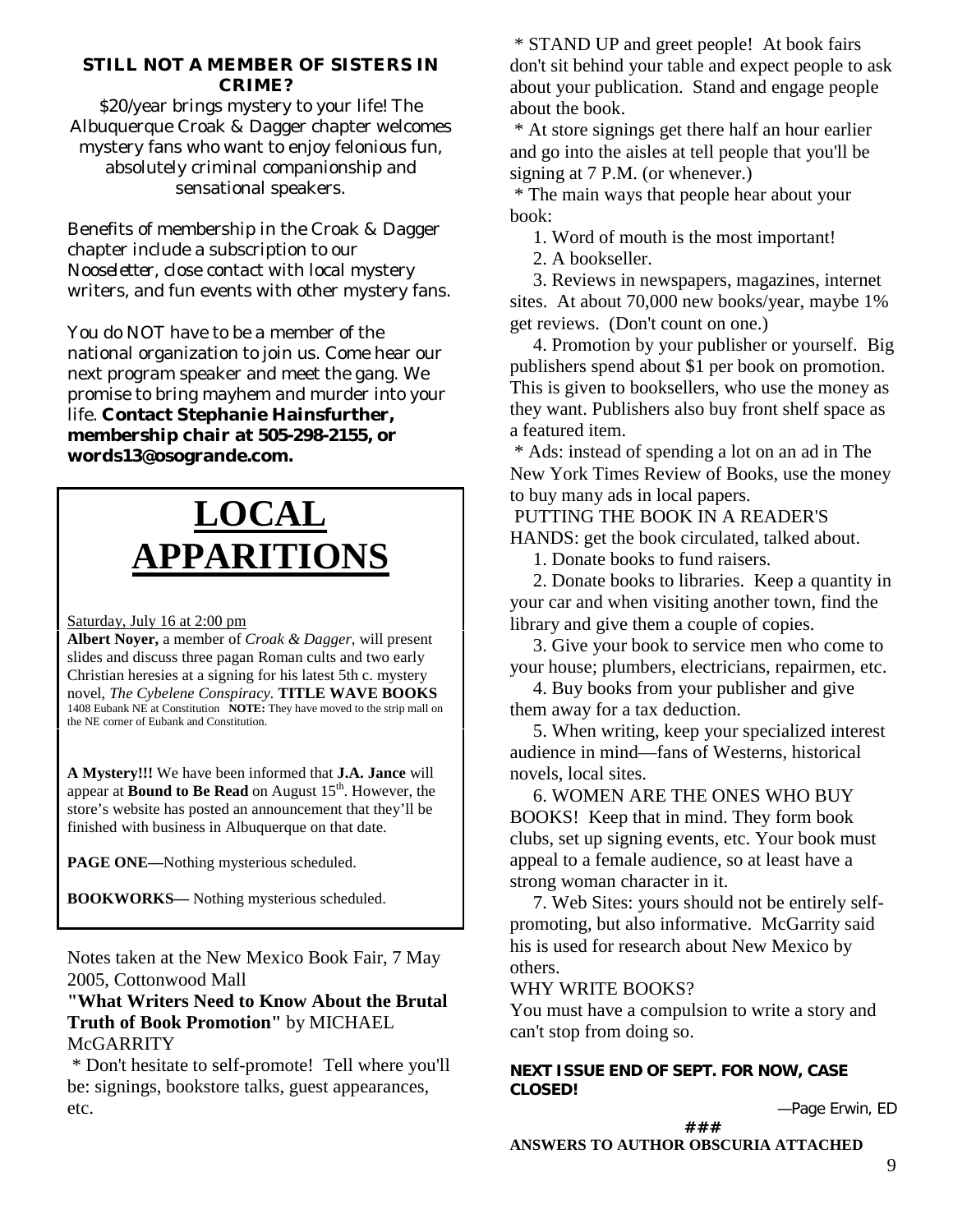### **STILL NOT A MEMBER OF SISTERS IN CRIME?**

\$20/year brings mystery to your life! The Albuquerque Croak & Dagger chapter welcomes mystery fans who want to enjoy felonious fun, absolutely criminal companionship and sensational speakers.

Benefits of membership in the Croak & Dagger chapter include a subscription to our *Nooseletter*, close contact with local mystery writers, and fun events with other mystery fans.

You do NOT have to be a member of the national organization to join us. Come hear our next program speaker and meet the gang. We promise to bring mayhem and murder into your life. **Contact Stephanie Hainsfurther, membership chair at 505-298-2155, or words13@osogrande.com.** 

## **LOCAL APPARITIONS**

#### Saturday, July 16 at 2:00 pm

**Albert Noyer,** a member of *Croak & Dagger,* will present slides and discuss three pagan Roman cults and two early Christian heresies at a signing for his latest 5th c. mystery novel, *The Cybelene Conspiracy.* **TITLE WAVE BOOKS**  1408 Eubank NE at Constitution **NOTE:** They have moved to the strip mall on the NE corner of Eubank and Constitution.

**A Mystery!!!** We have been informed that **J.A. Jance** will appear at **Bound to Be Read** on August 15<sup>th</sup>. However, the store's website has posted an announcement that they'll be finished with business in Albuquerque on that date.

**PAGE ONE—**Nothing mysterious scheduled.

**BOOKWORKS—** Nothing mysterious scheduled.

Notes taken at the New Mexico Book Fair, 7 May 2005, Cottonwood Mall

## **"What Writers Need to Know About the Brutal Truth of Book Promotion"** by MICHAEL McGARRITY

 \* Don't hesitate to self-promote! Tell where you'll be: signings, bookstore talks, guest appearances, etc.

 \* STAND UP and greet people! At book fairs don't sit behind your table and expect people to ask about your publication. Stand and engage people about the book.

 \* At store signings get there half an hour earlier and go into the aisles at tell people that you'll be signing at 7 P.M. (or whenever.)

 \* The main ways that people hear about your book:

1. Word of mouth is the most important!

2. A bookseller.

 3. Reviews in newspapers, magazines, internet sites. At about 70,000 new books/year, maybe 1% get reviews. (Don't count on one.)

 4. Promotion by your publisher or yourself. Big publishers spend about \$1 per book on promotion. This is given to booksellers, who use the money as they want. Publishers also buy front shelf space as a featured item.

 \* Ads: instead of spending a lot on an ad in The New York Times Review of Books, use the money to buy many ads in local papers.

 PUTTING THE BOOK IN A READER'S HANDS: get the book circulated, talked about.

1. Donate books to fund raisers.

 2. Donate books to libraries. Keep a quantity in your car and when visiting another town, find the library and give them a couple of copies.

 3. Give your book to service men who come to your house; plumbers, electricians, repairmen, etc.

 4. Buy books from your publisher and give them away for a tax deduction.

 5. When writing, keep your specialized interest audience in mind—fans of Westerns, historical novels, local sites.

 6. WOMEN ARE THE ONES WHO BUY BOOKS! Keep that in mind. They form book clubs, set up signing events, etc. Your book must appeal to a female audience, so at least have a strong woman character in it.

 7. Web Sites: yours should not be entirely selfpromoting, but also informative. McGarrity said his is used for research about New Mexico by others.

## WHY WRITE BOOKS?

You must have a compulsion to write a story and can't stop from doing so.

**NEXT ISSUE END OF SEPT. FOR NOW, CASE CLOSED!** 

—Page Erwin, ED

**###** 

**ANSWERS TO AUTHOR OBSCURIA ATTACHED**